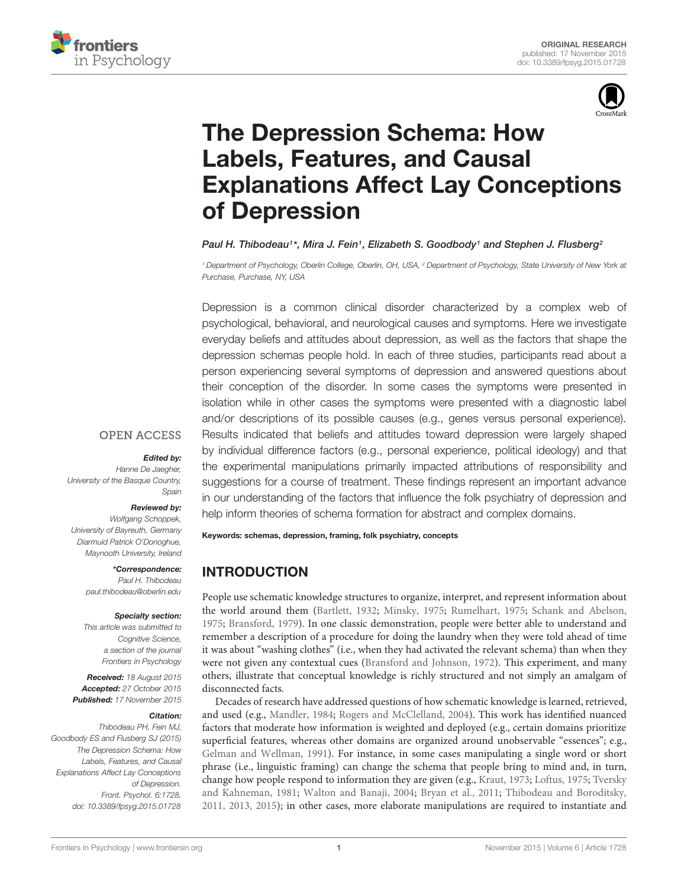



# The Depression Schema: How Labels, Features, and Causal [Explanations Affect Lay Conceptions](http://journal.frontiersin.org/article/10.3389/fpsyg.2015.01728/abstract) of Depression

*[Paul H. Thibodeau1](http://loop.frontiersin.org/people/142053/overview)\*, Mira J. Fein1, [Elizabeth S. Goodbody1](http://loop.frontiersin.org/people/289678/overview) and [Stephen J. Flusberg2](http://loop.frontiersin.org/people/20095/overview)*

*<sup>1</sup> Department of Psychology, Oberlin College, Oberlin, OH, USA, <sup>2</sup> Department of Psychology, State University of New York at Purchase, Purchase, NY, USA*

Depression is a common clinical disorder characterized by a complex web of psychological, behavioral, and neurological causes and symptoms. Here we investigate everyday beliefs and attitudes about depression, as well as the factors that shape the depression schemas people hold. In each of three studies, participants read about a person experiencing several symptoms of depression and answered questions about their conception of the disorder. In some cases the symptoms were presented in isolation while in other cases the symptoms were presented with a diagnostic label and/or descriptions of its possible causes (e.g., genes versus personal experience). Results indicated that beliefs and attitudes toward depression were largely shaped by individual difference factors (e.g., personal experience, political ideology) and that the experimental manipulations primarily impacted attributions of responsibility and suggestions for a course of treatment. These findings represent an important advance help inform theories of schema formation for abstract and complex domains.

## **OPEN ACCESS**

#### *Edited by:*

*Hanne De Jaegher, University of the Basque Country, Spain*

## *Reviewed by:*

*Wolfgang Schoppek, University of Bayreuth, Germany Diarmuid Patrick O'Donoghue, Maynooth University, Ireland*

> *\*Correspondence: Paul H. Thibodeau paul.thibodeau@oberlin.edu*

## *Specialty section:*

*This article was submitted to Cognitive Science, a section of the journal Frontiers in Psychology*

*Received: 18 August 2015 Accepted: 27 October 2015 Published: 17 November 2015*

## *Citation:*

*Thibodeau PH, Fein MJ, Goodbody ES and Flusberg SJ (2015) The Depression Schema: How Labels, Features, and Causal Explanations Affect Lay Conceptions of Depression. Front. Psychol. 6:1728. doi: [10.3389/fpsyg.2015.01728](http://dx.doi.org/10.3389/fpsyg.2015.01728)*

in our understanding of the factors that influence the folk psychiatry of depression and

Keywords: schemas, depression, framing, folk psychiatry, concepts

# INTRODUCTION

People use schematic knowledge structures to organize, interpret, and represent information about the world around them [\(Bartlett, 1932;](#page-10-0) [Minsky, 1975](#page-11-0); [Rumelhart, 1975](#page-11-1); [Schank and Abelson](#page-11-2), [1975;](#page-11-2) [Bransford, 1979](#page-10-1)). In one classic demonstration, people were better able to understand and remember a description of a procedure for doing the laundry when they were told ahead of time it was about "washing clothes" (i.e., when they had activated the relevant schema) than when they were not given any contextual cues [\(Bransford and Johnson, 1972](#page-10-2)). This experiment, and many others, illustrate that conceptual knowledge is richly structured and not simply an amalgam of disconnected facts.

Decades of research have addressed questions of how schematic knowledge is learned, retrieved, and used (e.g., [Mandler](#page-11-3), [1984;](#page-11-3) [Rogers and McClelland, 2004\)](#page-11-4). This work has identified nuanced factors that moderate how information is weighted and deployed (e.g., certain domains prioritize superficial features, whereas other domains are organized around unobservable "essences"; e.g., [Gelman and Wellman](#page-11-5), [1991](#page-11-5)). For instance, in some cases manipulating a single word or short phrase (i.e., linguistic framing) can change the schema that people bring to mind and, in turn, change how pe[ople respond to information they are given \(e.g.,](#page-11-8) [Kraut](#page-11-6), [1973](#page-11-6); [Loftus, 1975](#page-11-7); Tversky and Kahneman, [1981;](#page-11-8) [Walton and Banaji](#page-11-9), [2004;](#page-11-9) [Bryan et al., 2011](#page-10-3); [Thibodeau and Boroditsky](#page-11-10), [2011,](#page-11-10) [2013](#page-11-11), [2015](#page-11-12)); in other cases, more elaborate manipulations are required to instantiate and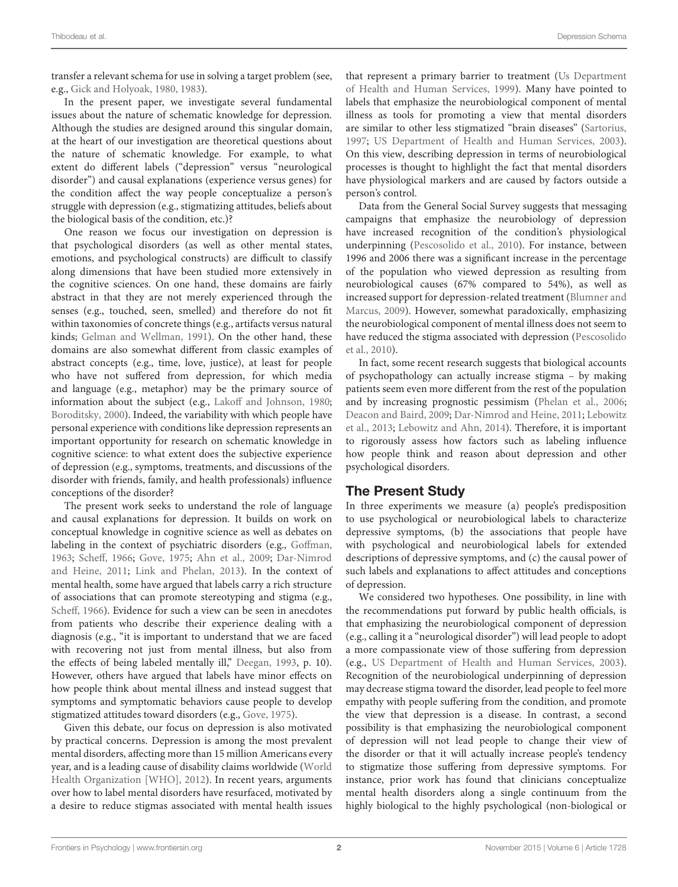transfer a relevant schema for use in solving a target problem (see, e.g., [Gick and Holyoak](#page-11-13), [1980](#page-11-13), [1983\)](#page-11-14).

In the present paper, we investigate several fundamental issues about the nature of schematic knowledge for depression. Although the studies are designed around this singular domain, at the heart of our investigation are theoretical questions about the nature of schematic knowledge. For example, to what extent do different labels ("depression" versus "neurological disorder") and causal explanations (experience versus genes) for the condition affect the way people conceptualize a person's struggle with depression (e.g., stigmatizing attitudes, beliefs about the biological basis of the condition, etc.)?

One reason we focus our investigation on depression is that psychological disorders (as well as other mental states, emotions, and psychological constructs) are difficult to classify along dimensions that have been studied more extensively in the cognitive sciences. On one hand, these domains are fairly abstract in that they are not merely experienced through the senses (e.g., touched, seen, smelled) and therefore do not fit within taxonomies of concrete things (e.g., artifacts versus natural kinds; [Gelman and Wellman, 1991\)](#page-11-5). On the other hand, these domains are also somewhat different from classic examples of abstract concepts (e.g., time, love, justice), at least for people who have not suffered from depression, for which media and language (e.g., metaphor) may be the primary source of information about the subject (e.g., Lakoff [and Johnson](#page-11-15), [1980;](#page-11-15) [Boroditsky, 2000](#page-10-4)). Indeed, the variability with which people have personal experience with conditions like depression represents an important opportunity for research on schematic knowledge in cognitive science: to what extent does the subjective experience of depression (e.g., symptoms, treatments, and discussions of the disorder with friends, family, and health professionals) influence conceptions of the disorder?

The present work seeks to understand the role of language and causal explanations for depression. It builds on work on conceptual knowledge in cognitive science as well as debates on labeling in the context of psychiatric disorders (e.g., Goff[man,](#page-11-16) [1963](#page-11-16); [Sche](#page-11-17)ff, [1966](#page-11-17); [Gove, 1975;](#page-11-18) [Ahn et al.](#page-10-5)[,](#page-11-19) [2009](#page-10-5)[;](#page-11-19) Dar-Nimrod and Heine, [2011](#page-11-19); [Link and Phelan](#page-11-20), [2013](#page-11-20)). In the context of mental health, some have argued that labels carry a rich structure of associations that can promote stereotyping and stigma (e.g., [Sche](#page-11-17)ff, [1966\)](#page-11-17). Evidence for such a view can be seen in anecdotes from patients who describe their experience dealing with a diagnosis (e.g., "it is important to understand that we are faced with recovering not just from mental illness, but also from the effects of being labeled mentally ill," [Deegan](#page-11-21), [1993](#page-11-21), p. 10). However, others have argued that labels have minor effects on how people think about mental illness and instead suggest that symptoms and symptomatic behaviors cause people to develop stigmatized attitudes toward disorders (e.g., [Gove](#page-11-18), [1975\)](#page-11-18).

Given this debate, our focus on depression is also motivated by practical concerns. Depression is among the most prevalent mental disorders, affecting more than 15 million Americans every year, and is a leading cause of disability claims worldwide (World Health Organization [WHO], [2012](#page-12-0)). In recent years, arguments over how to label mental disorders have resurfaced, motivated by a desire to reduce stigmas associated with mental health issues that represent a primary barrie[r to treatment \(](#page-11-22)Us Department of Health and Human Services, [1999](#page-11-22)). Many have pointed to labels that emphasize the neurobiological component of mental illness as tools for promoting a view that mental disorders are similar to other less stigmatized "brain diseases" [\(Sartorius](#page-11-23), [1997;](#page-11-23) [US Department of Health and Human Services](#page-11-24), [2003\)](#page-11-24). On this view, describing depression in terms of neurobiological processes is thought to highlight the fact that mental disorders have physiological markers and are caused by factors outside a person's control.

Data from the General Social Survey suggests that messaging campaigns that emphasize the neurobiology of depression have increased recognition of the condition's physiological underpinning [\(Pescosolido et al.](#page-11-25), [2010](#page-11-25)). For instance, between 1996 and 2006 there was a significant increase in the percentage of the population who viewed depression as resulting from neurobiological causes (67% compared to 54%), as well as increas[ed support for depression-related treatment \(](#page-10-6)Blumner and Marcus, [2009\)](#page-10-6). However, somewhat paradoxically, emphasizing the neurobiological component of mental illness does not seem to hav[e reduced the stigma associated with depression \(](#page-11-25)Pescosolido et al., [2010](#page-11-25)).

In fact, some recent research suggests that biological accounts of psychopathology can actually increase stigma – by making patients seem even more different from the rest of the population and by increasing prognostic pessimism [\(Phelan et al.](#page-11-26), [2006](#page-11-26); [Deacon and Baird](#page-11-27), [2009;](#page-11-27) [Dar-Nimrod and Heine](#page-11-19)[,](#page-11-28) [2011](#page-11-19)[;](#page-11-28) Lebowitz et al., [2013](#page-11-28); [Lebowitz and Ahn](#page-11-29), [2014](#page-11-29)). Therefore, it is important to rigorously assess how factors such as labeling influence how people think and reason about depression and other psychological disorders.

# The Present Study

In three experiments we measure (a) people's predisposition to use psychological or neurobiological labels to characterize depressive symptoms, (b) the associations that people have with psychological and neurobiological labels for extended descriptions of depressive symptoms, and (c) the causal power of such labels and explanations to affect attitudes and conceptions of depression.

We considered two hypotheses. One possibility, in line with the recommendations put forward by public health officials, is that emphasizing the neurobiological component of depression (e.g., calling it a "neurological disorder") will lead people to adopt a more compassionate view of those suffering from depression (e.g., [US Department of Health and Human Services, 2003\)](#page-11-24). Recognition of the neurobiological underpinning of depression may decrease stigma toward the disorder, lead people to feel more empathy with people suffering from the condition, and promote the view that depression is a disease. In contrast, a second possibility is that emphasizing the neurobiological component of depression will not lead people to change their view of the disorder or that it will actually increase people's tendency to stigmatize those suffering from depressive symptoms. For instance, prior work has found that clinicians conceptualize mental health disorders along a single continuum from the highly biological to the highly psychological (non-biological or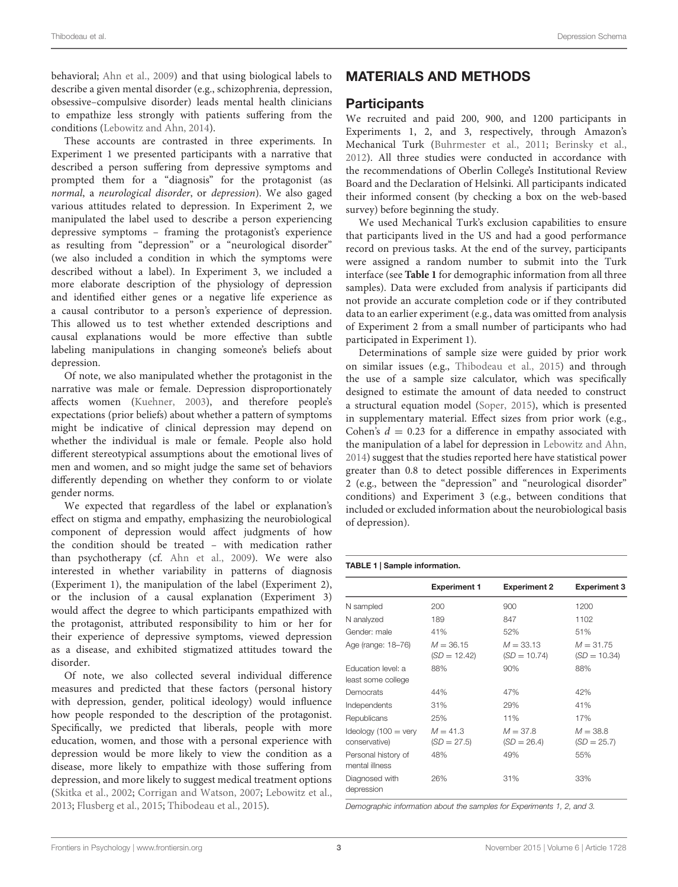behavioral; [Ahn et al.](#page-10-5), [2009\)](#page-10-5) and that using biological labels to describe a given mental disorder (e.g., schizophrenia, depression, obsessive–compulsive disorder) leads mental health clinicians to empathize less strongly with patients suffering from the conditions [\(Lebowitz and Ahn](#page-11-29), [2014\)](#page-11-29).

These accounts are contrasted in three experiments. In Experiment 1 we presented participants with a narrative that described a person suffering from depressive symptoms and prompted them for a "diagnosis" for the protagonist (as *normal*, a *neurological disorder*, or *depression*). We also gaged various attitudes related to depression. In Experiment 2, we manipulated the label used to describe a person experiencing depressive symptoms – framing the protagonist's experience as resulting from "depression" or a "neurological disorder" (we also included a condition in which the symptoms were described without a label). In Experiment 3, we included a more elaborate description of the physiology of depression and identified either genes or a negative life experience as a causal contributor to a person's experience of depression. This allowed us to test whether extended descriptions and causal explanations would be more effective than subtle labeling manipulations in changing someone's beliefs about depression.

Of note, we also manipulated whether the protagonist in the narrative was male or female. Depression disproportionately affects women [\(Kuehner, 2003\)](#page-11-30), and therefore people's expectations (prior beliefs) about whether a pattern of symptoms might be indicative of clinical depression may depend on whether the individual is male or female. People also hold different stereotypical assumptions about the emotional lives of men and women, and so might judge the same set of behaviors differently depending on whether they conform to or violate gender norms.

We expected that regardless of the label or explanation's effect on stigma and empathy, emphasizing the neurobiological component of depression would affect judgments of how the condition should be treated – with medication rather than psychotherapy (cf. [Ahn et al.](#page-10-5), [2009](#page-10-5)). We were also interested in whether variability in patterns of diagnosis (Experiment 1), the manipulation of the label (Experiment 2), or the inclusion of a causal explanation (Experiment 3) would affect the degree to which participants empathized with the protagonist, attributed responsibility to him or her for their experience of depressive symptoms, viewed depression as a disease, and exhibited stigmatized attitudes toward the disorder.

Of note, we also collected several individual difference measures and predicted that these factors (personal history with depression, gender, political ideology) would influence how people responded to the description of the protagonist. Specifically, we predicted that liberals, people with more education, women, and those with a personal experience with depression would be more likely to view the condition as a disease, more likely to empathize with those suffering from depression, and more likely to suggest medical treatment options [\(Skitka et al.](#page-11-31), [2002](#page-11-31); [Corrigan and Watson](#page-11-32), [2007;](#page-11-32) [Lebowitz et al.,](#page-11-28) [2013](#page-11-28); [Flusberg et al.](#page-11-33), [2015;](#page-11-33) [Thibodeau et al., 2015](#page-11-34)).

# MATERIALS AND METHODS

# **Participants**

We recruited and paid 200, 900, and 1200 participants in Experiments 1, 2, and 3, respectively, through Amazon's Mechanical Turk [\(Buhrmester et al., 2011;](#page-10-7) [Berinsky et al.](#page-10-8), [2012\)](#page-10-8). All three studies were conducted in accordance with the recommendations of Oberlin College's Institutional Review Board and the Declaration of Helsinki. All participants indicated their informed consent (by checking a box on the web-based survey) before beginning the study.

We used Mechanical Turk's exclusion capabilities to ensure that participants lived in the US and had a good performance record on previous tasks. At the end of the survey, participants were assigned a random number to submit into the Turk interface (see **[Table 1](#page-2-0)** for demographic information from all three samples). Data were excluded from analysis if participants did not provide an accurate completion code or if they contributed data to an earlier experiment (e.g., data was omitted from analysis of Experiment 2 from a small number of participants who had participated in Experiment 1).

Determinations of sample size were guided by prior work on similar issues (e.g., [Thibodeau et al., 2015](#page-11-34)) and through the use of a sample size calculator, which was specifically designed to estimate the amount of data needed to construct a structural equation model [\(Soper, 2015](#page-11-35)), which is presented in supplementary material. Effect sizes from prior work (e.g., Cohen's  $d = 0.23$  for a difference in empathy associated with the manipulation of a label for depression in [Lebowitz and Ahn](#page-11-29), [2014\)](#page-11-29) suggest that the studies reported here have statistical power greater than 0.8 to detect possible differences in Experiments 2 (e.g., between the "depression" and "neurological disorder" conditions) and Experiment 3 (e.g., between conditions that included or excluded information about the neurobiological basis of depression).

#### <span id="page-2-0"></span>TABLE 1 | Sample information.

|                                                 | <b>Experiment 1</b>           | <b>Experiment 2</b>           | <b>Experiment 3</b>           |
|-------------------------------------------------|-------------------------------|-------------------------------|-------------------------------|
| N sampled                                       | 200                           | 900                           | 1200                          |
| N analyzed                                      | 189                           | 847                           | 1102                          |
| Gender: male                                    | 41%                           | 52%                           | 51%                           |
| Age (range: 18-76)                              | $M = 36.15$<br>$(SD = 12.42)$ | $M = 33.13$<br>$(SD = 10.74)$ | $M = 31,75$<br>$(SD = 10.34)$ |
| Education level: a<br>least some college        | 88%                           | 90%                           | 88%                           |
| Democrats                                       | 44%                           | 47%                           | 42%                           |
| Independents                                    | 31%                           | 29%                           | 41%                           |
| Republicans                                     | 25%                           | 11%                           | 17%                           |
| Ideology $(100 = \text{very})$<br>conservative) | $M = 41.3$<br>$(SD = 27.5)$   | $M = 37.8$<br>$(SD = 26.4)$   | $M = 38.8$<br>$(SD = 25.7)$   |
| Personal history of<br>mental illness           | 48%                           | 49%                           | 55%                           |
| Diagnosed with<br>depression                    | 26%                           | 31%                           | 33%                           |

*Demographic information about the samples for Experiments 1, 2, and 3.*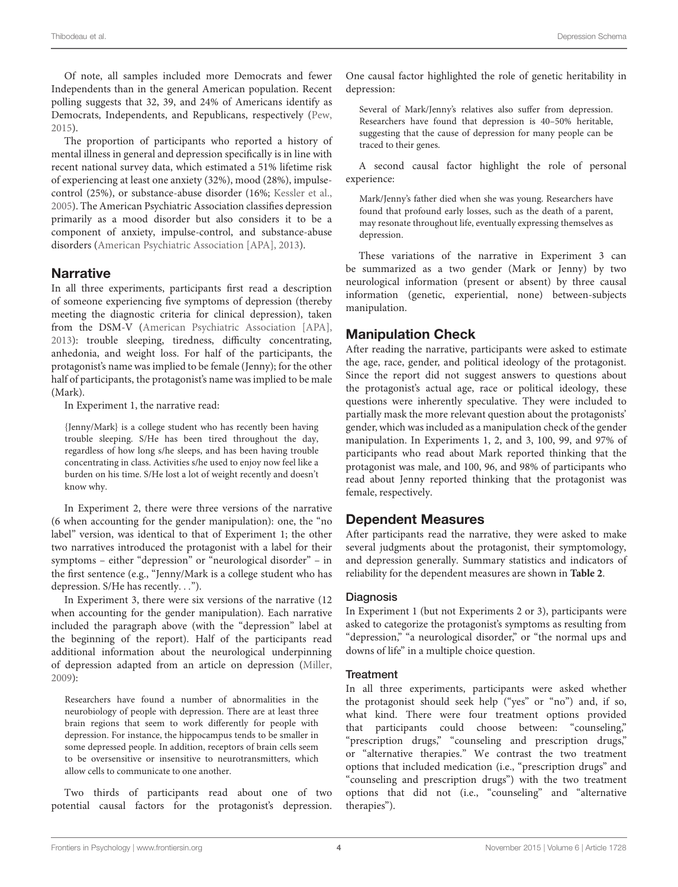Of note, all samples included more Democrats and fewer Independents than in the general American population. Recent polling suggests that 32, 39, and 24% of Americans identify as Democrats, Independents, and Republicans, respectively [\(Pew,](#page-11-36) [2015](#page-11-36)).

The proportion of participants who reported a history of mental illness in general and depression specifically is in line with recent national survey data, which estimated a 51% lifetime risk of experiencing at least one anxiety (32%), mood (28%), impulsecontrol (25%), or substance-abuse disorder (16%; [Kessler et al.,](#page-11-37) [2005](#page-11-37)). The American Psychiatric Association classifies depression primarily as a mood disorder but also considers it to be a component of anxiety, impulse-control, and substance-abuse disorders [\(American Psychiatric Association \[APA\]](#page-10-9), [2013](#page-10-9)).

# **Narrative**

In all three experiments, participants first read a description of someone experiencing five symptoms of depression (thereby meeting the diagnostic criteria for clinical depression), taken from the DSM-V [\(American Psychiatric Association \[APA\],](#page-10-9) [2013](#page-10-9)): trouble sleeping, tiredness, difficulty concentrating, anhedonia, and weight loss. For half of the participants, the protagonist's name was implied to be female (Jenny); for the other half of participants, the protagonist's name was implied to be male (Mark).

In Experiment 1, the narrative read:

{Jenny/Mark} is a college student who has recently been having trouble sleeping. S/He has been tired throughout the day, regardless of how long s/he sleeps, and has been having trouble concentrating in class. Activities s/he used to enjoy now feel like a burden on his time. S/He lost a lot of weight recently and doesn't know why.

In Experiment 2, there were three versions of the narrative (6 when accounting for the gender manipulation): one, the "no label" version, was identical to that of Experiment 1; the other two narratives introduced the protagonist with a label for their symptoms – either "depression" or "neurological disorder" – in the first sentence (e.g., "Jenny/Mark is a college student who has depression. S/He has recently*...*").

In Experiment 3, there were six versions of the narrative (12 when accounting for the gender manipulation). Each narrative included the paragraph above (with the "depression" label at the beginning of the report). Half of the participants read additional information about the neurological underpinning of depression adapted from an article on depression [\(Miller,](#page-11-38) [2009](#page-11-38)):

Researchers have found a number of abnormalities in the neurobiology of people with depression. There are at least three brain regions that seem to work differently for people with depression. For instance, the hippocampus tends to be smaller in some depressed people. In addition, receptors of brain cells seem to be oversensitive or insensitive to neurotransmitters, which allow cells to communicate to one another.

Two thirds of participants read about one of two potential causal factors for the protagonist's depression. One causal factor highlighted the role of genetic heritability in depression:

Several of Mark/Jenny's relatives also suffer from depression. Researchers have found that depression is 40–50% heritable, suggesting that the cause of depression for many people can be traced to their genes.

A second causal factor highlight the role of personal experience:

Mark/Jenny's father died when she was young. Researchers have found that profound early losses, such as the death of a parent, may resonate throughout life, eventually expressing themselves as depression.

These variations of the narrative in Experiment 3 can be summarized as a two gender (Mark or Jenny) by two neurological information (present or absent) by three causal information (genetic, experiential, none) between-subjects manipulation.

# Manipulation Check

After reading the narrative, participants were asked to estimate the age, race, gender, and political ideology of the protagonist. Since the report did not suggest answers to questions about the protagonist's actual age, race or political ideology, these questions were inherently speculative. They were included to partially mask the more relevant question about the protagonists' gender, which was included as a manipulation check of the gender manipulation. In Experiments 1, 2, and 3, 100, 99, and 97% of participants who read about Mark reported thinking that the protagonist was male, and 100, 96, and 98% of participants who read about Jenny reported thinking that the protagonist was female, respectively.

# Dependent Measures

After participants read the narrative, they were asked to make several judgments about the protagonist, their symptomology, and depression generally. Summary statistics and indicators of reliability for the dependent measures are shown in **[Table 2](#page-4-0)**.

# **Diagnosis**

In Experiment 1 (but not Experiments 2 or 3), participants were asked to categorize the protagonist's symptoms as resulting from "depression," "a neurological disorder," or "the normal ups and downs of life" in a multiple choice question.

# **Treatment**

In all three experiments, participants were asked whether the protagonist should seek help ("yes" or "no") and, if so, what kind. There were four treatment options provided that participants could choose between: "counseling," "prescription drugs," "counseling and prescription drugs," or "alternative therapies." We contrast the two treatment options that included medication (i.e., "prescription drugs" and "counseling and prescription drugs") with the two treatment options that did not (i.e., "counseling" and "alternative therapies").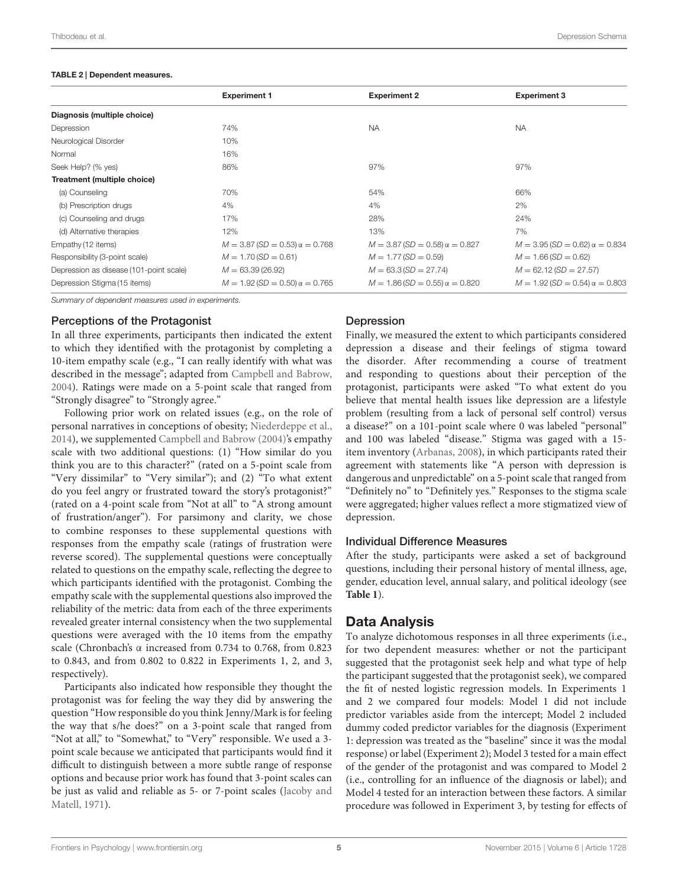#### <span id="page-4-0"></span>TABLE 2 | Dependent measures.

|                                         | <b>Experiment 1</b>                     | <b>Experiment 2</b>                     | <b>Experiment 3</b>                     |
|-----------------------------------------|-----------------------------------------|-----------------------------------------|-----------------------------------------|
| Diagnosis (multiple choice)             |                                         |                                         |                                         |
| Depression                              | 74%                                     | <b>NA</b>                               | <b>NA</b>                               |
| Neurological Disorder                   | 10%                                     |                                         |                                         |
| Normal                                  | 16%                                     |                                         |                                         |
| Seek Help? (% yes)                      | 86%                                     | 97%                                     | 97%                                     |
| Treatment (multiple choice)             |                                         |                                         |                                         |
| (a) Counseling                          | 70%                                     | 54%                                     | 66%                                     |
| (b) Prescription drugs                  | 4%                                      | 4%                                      | 2%                                      |
| (c) Counseling and drugs                | 17%                                     | 28%                                     | 24%                                     |
| (d) Alternative therapies               | 12%                                     | 13%                                     | 7%                                      |
| Empathy (12 items)                      | $M = 3.87$ (SD = 0.53) $\alpha = 0.768$ | $M = 3.87$ (SD = 0.58) $\alpha = 0.827$ | $M = 3.95 (SD = 0.62) \alpha = 0.834$   |
| Responsibility (3-point scale)          | $M = 1.70(SD = 0.61)$                   | $M = 1.77(SD = 0.59)$                   | $M = 1.66(SD = 0.62)$                   |
| Depression as disease (101-point scale) | $M = 63.39(26.92)$                      | $M = 63.3$ (SD = 27.74)                 | $M = 62.12(SD = 27.57)$                 |
| Depression Stigma (15 items)            | $M = 1.92(SD = 0.50)$ $\alpha = 0.765$  | $M = 1.86$ (SD = 0.55) $\alpha = 0.820$ | $M = 1.92$ (SD = 0.54) $\alpha = 0.803$ |
|                                         |                                         |                                         |                                         |

*Summary of dependent measures used in experiments.*

### Perceptions of the Protagonist

In all three experiments, participants then indicated the extent to which they identified with the protagonist by completing a 10-item empathy scale (e.g., "I can really identify with what was described in the message"; adapted from [Campbell and Babrow,](#page-11-39) [2004](#page-11-39)). Ratings were made on a 5-point scale that ranged from "Strongly disagree" to "Strongly agree."

Following prior work on related issues (e.g., on the role of personal narratives in conceptions of obesity; [Niederdeppe et al.,](#page-11-40) [2014](#page-11-40)), we supplemented [Campbell and Babrow](#page-11-39) [\(2004](#page-11-39))'s empathy scale with two additional questions: (1) "How similar do you think you are to this character?" (rated on a 5-point scale from "Very dissimilar" to "Very similar"); and (2) "To what extent do you feel angry or frustrated toward the story's protagonist?" (rated on a 4-point scale from "Not at all" to "A strong amount of frustration/anger"). For parsimony and clarity, we chose to combine responses to these supplemental questions with responses from the empathy scale (ratings of frustration were reverse scored). The supplemental questions were conceptually related to questions on the empathy scale, reflecting the degree to which participants identified with the protagonist. Combing the empathy scale with the supplemental questions also improved the reliability of the metric: data from each of the three experiments revealed greater internal consistency when the two supplemental questions were averaged with the 10 items from the empathy scale (Chronbach's α increased from 0.734 to 0.768, from 0.823 to 0.843, and from 0.802 to 0.822 in Experiments 1, 2, and 3, respectively).

Participants also indicated how responsible they thought the protagonist was for feeling the way they did by answering the question "How responsible do you think Jenny/Mark is for feeling the way that s/he does?" on a 3-point scale that ranged from "Not at all," to "Somewhat," to "Very" responsible. We used a 3 point scale because we anticipated that participants would find it difficult to distinguish between a more subtle range of response options and because prior work has found that 3-point scales can be jus[t as valid and reliable as 5- or 7-point scales \(](#page-11-41)Jacoby and Matell, [1971\)](#page-11-41).

# Depression

Finally, we measured the extent to which participants considered depression a disease and their feelings of stigma toward the disorder. After recommending a course of treatment and responding to questions about their perception of the protagonist, participants were asked "To what extent do you believe that mental health issues like depression are a lifestyle problem (resulting from a lack of personal self control) versus a disease?" on a 101-point scale where 0 was labeled "personal" and 100 was labeled "disease." Stigma was gaged with a 15 item inventory [\(Arbanas](#page-10-10), [2008](#page-10-10)), in which participants rated their agreement with statements like "A person with depression is dangerous and unpredictable" on a 5-point scale that ranged from "Definitely no" to "Definitely yes." Responses to the stigma scale were aggregated; higher values reflect a more stigmatized view of depression.

## Individual Difference Measures

After the study, participants were asked a set of background questions, including their personal history of mental illness, age, gender, education level, annual salary, and political ideology (see **[Table 1](#page-2-0)**).

# Data Analysis

To analyze dichotomous responses in all three experiments (i.e., for two dependent measures: whether or not the participant suggested that the protagonist seek help and what type of help the participant suggested that the protagonist seek), we compared the fit of nested logistic regression models. In Experiments 1 and 2 we compared four models: Model 1 did not include predictor variables aside from the intercept; Model 2 included dummy coded predictor variables for the diagnosis (Experiment 1: depression was treated as the "baseline" since it was the modal response) or label (Experiment 2); Model 3 tested for a main effect of the gender of the protagonist and was compared to Model 2 (i.e., controlling for an influence of the diagnosis or label); and Model 4 tested for an interaction between these factors. A similar procedure was followed in Experiment 3, by testing for effects of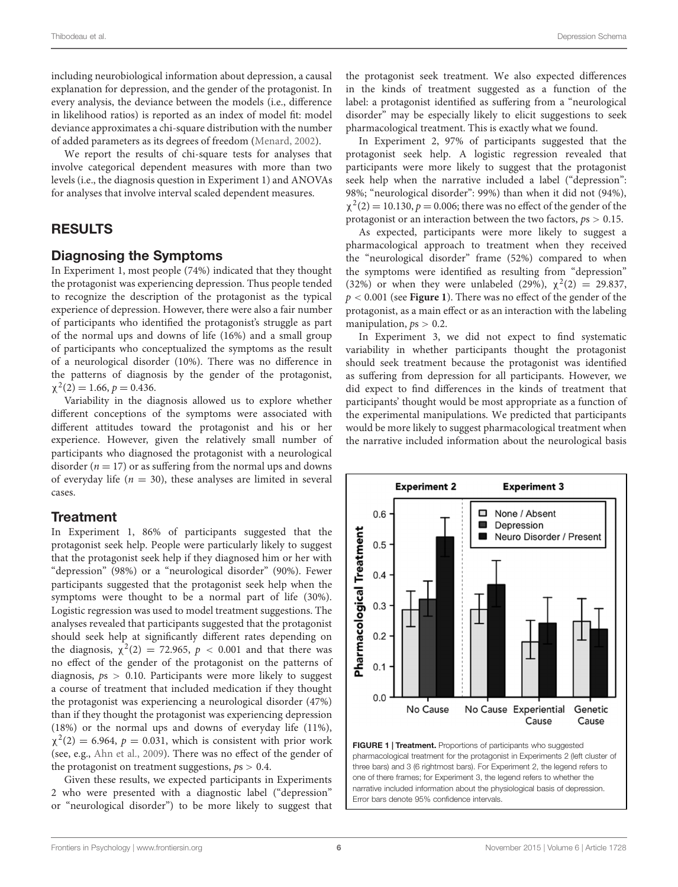including neurobiological information about depression, a causal explanation for depression, and the gender of the protagonist. In every analysis, the deviance between the models (i.e., difference in likelihood ratios) is reported as an index of model fit: model deviance approximates a chi-square distribution with the number of added parameters as its degrees of freedom [\(Menard](#page-11-42), [2002\)](#page-11-42).

We report the results of chi-square tests for analyses that involve categorical dependent measures with more than two levels (i.e., the diagnosis question in Experiment 1) and ANOVAs for analyses that involve interval scaled dependent measures.

# RESULTS

# Diagnosing the Symptoms

In Experiment 1, most people (74%) indicated that they thought the protagonist was experiencing depression. Thus people tended to recognize the description of the protagonist as the typical experience of depression. However, there were also a fair number of participants who identified the protagonist's struggle as part of the normal ups and downs of life (16%) and a small group of participants who conceptualized the symptoms as the result of a neurological disorder (10%). There was no difference in the patterns of diagnosis by the gender of the protagonist,  $\chi^2(2) = 1.66$ ,  $p = 0.436$ .

Variability in the diagnosis allowed us to explore whether different conceptions of the symptoms were associated with different attitudes toward the protagonist and his or her experience. However, given the relatively small number of participants who diagnosed the protagonist with a neurological disorder  $(n = 17)$  or as suffering from the normal ups and downs of everyday life  $(n = 30)$ , these analyses are limited in several cases.

# **Treatment**

In Experiment 1, 86% of participants suggested that the protagonist seek help. People were particularly likely to suggest that the protagonist seek help if they diagnosed him or her with "depression" (98%) or a "neurological disorder" (90%). Fewer participants suggested that the protagonist seek help when the symptoms were thought to be a normal part of life (30%). Logistic regression was used to model treatment suggestions. The analyses revealed that participants suggested that the protagonist should seek help at significantly different rates depending on the diagnosis,  $\chi^2(2) = 72.965$ ,  $p < 0.001$  and that there was no effect of the gender of the protagonist on the patterns of diagnosis, *p*s *>* 0.10. Participants were more likely to suggest a course of treatment that included medication if they thought the protagonist was experiencing a neurological disorder (47%) than if they thought the protagonist was experiencing depression (18%) or the normal ups and downs of everyday life (11%),  $\chi^2(2) = 6.964$ ,  $p = 0.031$ , which is consistent with prior work (see, e.g., [Ahn et al.](#page-10-5), [2009\)](#page-10-5). There was no effect of the gender of the protagonist on treatment suggestions, *p*s *>* 0.4.

Given these results, we expected participants in Experiments 2 who were presented with a diagnostic label ("depression" or "neurological disorder") to be more likely to suggest that the protagonist seek treatment. We also expected differences in the kinds of treatment suggested as a function of the label: a protagonist identified as suffering from a "neurological disorder" may be especially likely to elicit suggestions to seek pharmacological treatment. This is exactly what we found.

In Experiment 2, 97% of participants suggested that the protagonist seek help. A logistic regression revealed that participants were more likely to suggest that the protagonist seek help when the narrative included a label ("depression": 98%; "neurological disorder": 99%) than when it did not (94%),  $\chi^2(2) = 10.130, p = 0.006$ ; there was no effect of the gender of the protagonist or an interaction between the two factors, *p*s *>* 0.15.

As expected, participants were more likely to suggest a pharmacological approach to treatment when they received the "neurological disorder" frame (52%) compared to when the symptoms were identified as resulting from "depression" (32%) or when they were unlabeled (29%),  $\chi^2(2) = 29.837$ , *p <* 0.001 (see **[Figure 1](#page-5-0)**). There was no effect of the gender of the protagonist, as a main effect or as an interaction with the labeling manipulation,  $ps > 0.2$ .

In Experiment 3, we did not expect to find systematic variability in whether participants thought the protagonist should seek treatment because the protagonist was identified as suffering from depression for all participants. However, we did expect to find differences in the kinds of treatment that participants' thought would be most appropriate as a function of the experimental manipulations. We predicted that participants would be more likely to suggest pharmacological treatment when the narrative included information about the neurological basis



<span id="page-5-0"></span>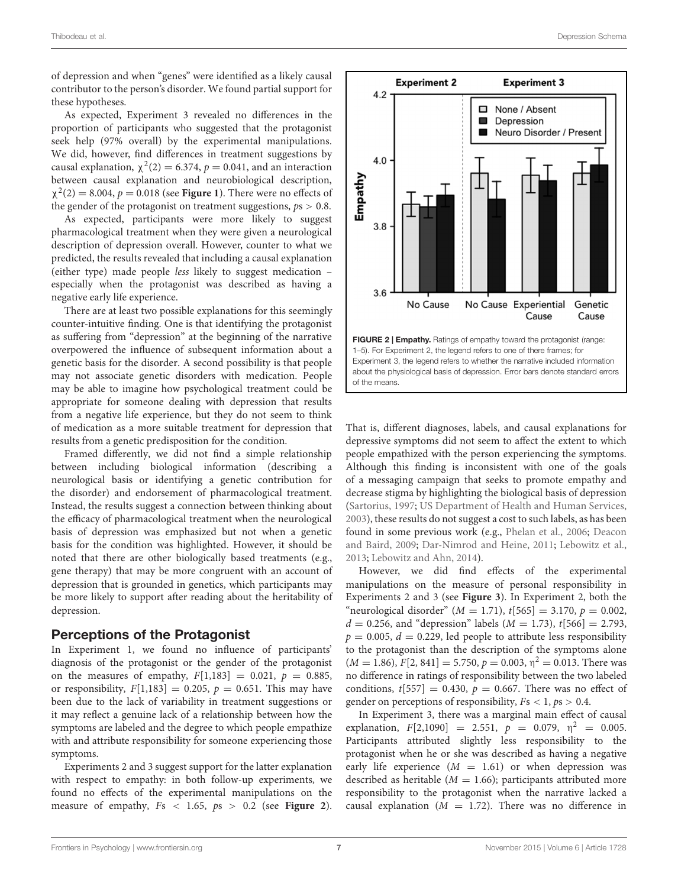of depression and when "genes" were identified as a likely causal contributor to the person's disorder. We found partial support for these hypotheses.

As expected, Experiment 3 revealed no differences in the proportion of participants who suggested that the protagonist seek help (97% overall) by the experimental manipulations. We did, however, find differences in treatment suggestions by causal explanation,  $\chi^2(2) = 6.374$ ,  $p = 0.041$ , and an interaction between causal explanation and neurobiological description,  $\chi^2(2) = 8.004$ ,  $p = 0.018$  (see **[Figure 1](#page-5-0)**). There were no effects of the gender of the protagonist on treatment suggestions, *p*s *>* 0.8.

As expected, participants were more likely to suggest pharmacological treatment when they were given a neurological description of depression overall. However, counter to what we predicted, the results revealed that including a causal explanation (either type) made people *less* likely to suggest medication – especially when the protagonist was described as having a negative early life experience.

There are at least two possible explanations for this seemingly counter-intuitive finding. One is that identifying the protagonist as suffering from "depression" at the beginning of the narrative overpowered the influence of subsequent information about a genetic basis for the disorder. A second possibility is that people may not associate genetic disorders with medication. People may be able to imagine how psychological treatment could be appropriate for someone dealing with depression that results from a negative life experience, but they do not seem to think of medication as a more suitable treatment for depression that results from a genetic predisposition for the condition.

Framed differently, we did not find a simple relationship between including biological information (describing a neurological basis or identifying a genetic contribution for the disorder) and endorsement of pharmacological treatment. Instead, the results suggest a connection between thinking about the efficacy of pharmacological treatment when the neurological basis of depression was emphasized but not when a genetic basis for the condition was highlighted. However, it should be noted that there are other biologically based treatments (e.g., gene therapy) that may be more congruent with an account of depression that is grounded in genetics, which participants may be more likely to support after reading about the heritability of depression.

# Perceptions of the Protagonist

In Experiment 1, we found no influence of participants' diagnosis of the protagonist or the gender of the protagonist on the measures of empathy,  $F[1,183] = 0.021$ ,  $p = 0.885$ , or responsibility,  $F[1,183] = 0.205$ ,  $p = 0.651$ . This may have been due to the lack of variability in treatment suggestions or it may reflect a genuine lack of a relationship between how the symptoms are labeled and the degree to which people empathize with and attribute responsibility for someone experiencing those symptoms.

Experiments 2 and 3 suggest support for the latter explanation with respect to empathy: in both follow-up experiments, we found no effects of the experimental manipulations on the measure of empathy, *F*s *<* 1.65, *p*s *>* 0.2 (see **[Figure 2](#page-6-0)**).



<span id="page-6-0"></span>That is, different diagnoses, labels, and causal explanations for depressive symptoms did not seem to affect the extent to which people empathized with the person experiencing the symptoms. Although this finding is inconsistent with one of the goals of a messaging campaign that seeks to promote empathy and decrease stigma by highlighting the biological basis of depression [\(Sartorius](#page-11-23), [1997](#page-11-23); [US Department of Health and Human Services](#page-11-24), [2003\)](#page-11-24), these results do not suggest a cost to such labels, as has been found in [some previous work \(e.g.,](#page-11-27) [Phelan et al.](#page-11-26), [2006;](#page-11-26) Deacon and Baird, [2009;](#page-11-27) [Dar-Nimrod and Heine](#page-11-19), [2011](#page-11-19); [Lebowitz et al.](#page-11-28), [2013;](#page-11-28) [Lebowitz and Ahn](#page-11-29), [2014](#page-11-29)).

However, we did find effects of the experimental manipulations on the measure of personal responsibility in Experiments 2 and 3 (see **[Figure 3](#page-7-0)**). In Experiment 2, both the "neurological disorder"  $(M = 1.71)$ ,  $t[565] = 3.170$ ,  $p = 0.002$ ,  $d = 0.256$ , and "depression" labels ( $M = 1.73$ ),  $t[566] = 2.793$ ,  $p = 0.005$ ,  $d = 0.229$ , led people to attribute less responsibility to the protagonist than the description of the symptoms alone  $(M = 1.86), F[2, 841] = 5.750, p = 0.003, \eta^2 = 0.013$ . There was no difference in ratings of responsibility between the two labeled conditions,  $t[557] = 0.430$ ,  $p = 0.667$ . There was no effect of gender on perceptions of responsibility,  $Fs < 1, ps > 0.4$ .

In Experiment 3, there was a marginal main effect of causal explanation,  $F[2,1090] = 2.551$ ,  $p = 0.079$ ,  $\eta^2 = 0.005$ . Participants attributed slightly less responsibility to the protagonist when he or she was described as having a negative early life experience  $(M = 1.61)$  or when depression was described as heritable  $(M = 1.66)$ ; participants attributed more responsibility to the protagonist when the narrative lacked a causal explanation  $(M = 1.72)$ . There was no difference in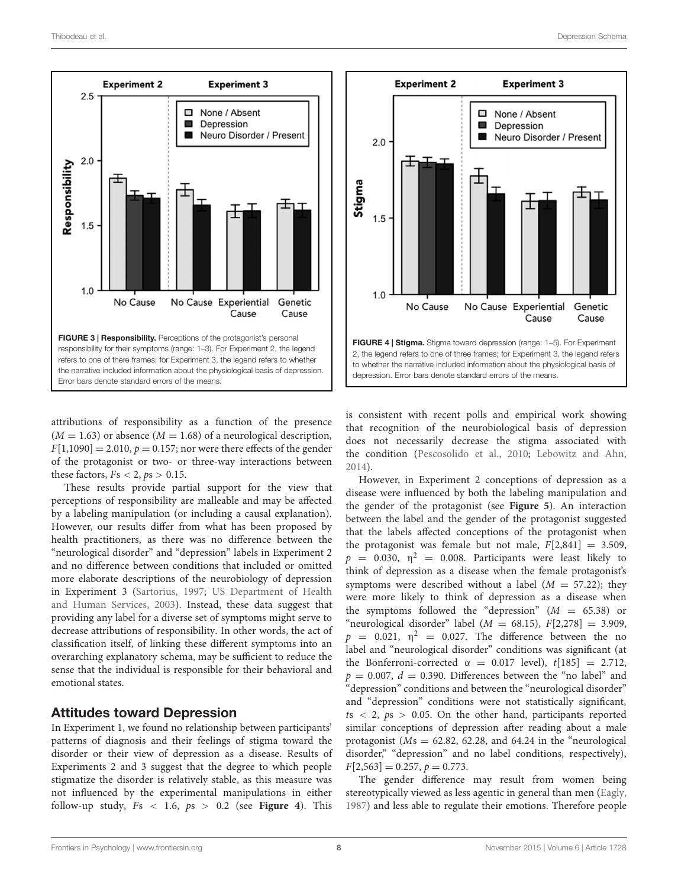

<span id="page-7-0"></span>attributions of responsibility as a function of the presence  $(M = 1.63)$  or absence  $(M = 1.68)$  of a neurological description,  $F[1,1090] = 2.010, p = 0.157$ ; nor were there effects of the gender of the protagonist or two- or three-way interactions between these factors,  $Fs < 2, ps > 0.15$ .

These results provide partial support for the view that perceptions of responsibility are malleable and may be affected by a labeling manipulation (or including a causal explanation). However, our results differ from what has been proposed by health practitioners, as there was no difference between the "neurological disorder" and "depression" labels in Experiment 2 and no difference between conditions that included or omitted more elaborate descriptions of the neurobiology of depression in Experiment 3 [\(Sartorius](#page-11-23)[,](#page-11-24) [1997](#page-11-23)[;](#page-11-24) US Department of Health and Human Services, [2003\)](#page-11-24). Instead, these data suggest that providing any label for a diverse set of symptoms might serve to decrease attributions of responsibility. In other words, the act of classification itself, of linking these different symptoms into an overarching explanatory schema, may be sufficient to reduce the sense that the individual is responsible for their behavioral and emotional states.

## Attitudes toward Depression

In Experiment 1, we found no relationship between participants' patterns of diagnosis and their feelings of stigma toward the disorder or their view of depression as a disease. Results of Experiments 2 and 3 suggest that the degree to which people stigmatize the disorder is relatively stable, as this measure was not influenced by the experimental manipulations in either follow-up study, *F*s *<* 1.6, *p*s *>* 0.2 (see **[Figure 4](#page-7-1)**). This



<span id="page-7-1"></span>is consistent with recent polls and empirical work showing that recognition of the neurobiological basis of depression does not necessarily decrease the stigma associated with the condition [\(Pescosolido et al.](#page-11-25), [2010;](#page-11-25) [Lebowitz and Ahn](#page-11-29), [2014\)](#page-11-29).

However, in Experiment 2 conceptions of depression as a disease were influenced by both the labeling manipulation and the gender of the protagonist (see **[Figure 5](#page-8-0)**). An interaction between the label and the gender of the protagonist suggested that the labels affected conceptions of the protagonist when the protagonist was female but not male,  $F[2,841] = 3.509$ ,  $p = 0.030$ ,  $\eta^2 = 0.008$ . Participants were least likely to think of depression as a disease when the female protagonist's symptoms were described without a label  $(M = 57.22)$ ; they were more likely to think of depression as a disease when the symptoms followed the "depression"  $(M = 65.38)$  or "neurological disorder" label  $(M = 68.15)$ ,  $F[2,278] = 3.909$ ,  $p = 0.021$ ,  $\eta^2 = 0.027$ . The difference between the no label and "neurological disorder" conditions was significant (at the Bonferroni-corrected  $\alpha = 0.017$  level),  $t[185] = 2.712$ ,  $p = 0.007$ ,  $d = 0.390$ . Differences between the "no label" and "depression" conditions and between the "neurological disorder" and "depression" conditions were not statistically significant, *t*s *<* 2, *p*s *>* 0.05. On the other hand, participants reported similar conceptions of depression after reading about a male protagonist ( $Ms = 62.82$ , 62.28, and 64.24 in the "neurological" disorder," "depression" and no label conditions, respectively),  $F[2,563] = 0.257, p = 0.773.$ 

The gender difference may result from women being stereotypically viewed as less agentic in general than men [\(Eagly](#page-11-43), [1987\)](#page-11-43) and less able to regulate their emotions. Therefore people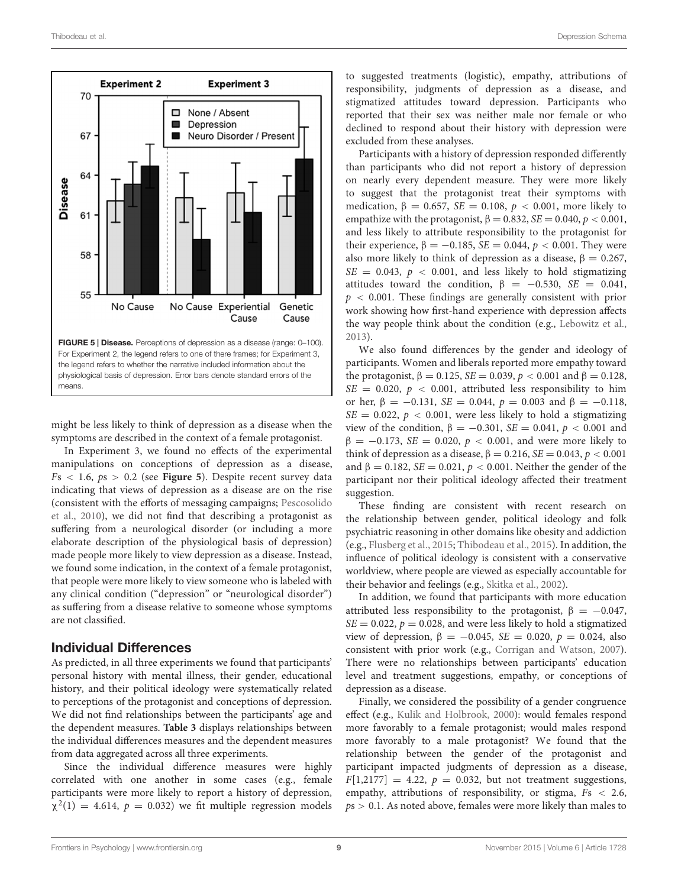

<span id="page-8-0"></span>might be less likely to think of depression as a disease when the symptoms are described in the context of a female protagonist.

In Experiment 3, we found no effects of the experimental manipulations on conceptions of depression as a disease,  $Fs < 1.6, ps > 0.2$  (see **[Figure 5](#page-8-0)**). Despite recent survey data indicating that views of depression as a disease are on the rise (consistent with the efforts of messaging campaigns; Pescosolido et al., [2010\)](#page-11-25), we did not find that describing a protagonist as suffering from a neurological disorder (or including a more elaborate description of the physiological basis of depression) made people more likely to view depression as a disease. Instead, we found some indication, in the context of a female protagonist, that people were more likely to view someone who is labeled with any clinical condition ("depression" or "neurological disorder") as suffering from a disease relative to someone whose symptoms are not classified.

# Individual Differences

As predicted, in all three experiments we found that participants' personal history with mental illness, their gender, educational history, and their political ideology were systematically related to perceptions of the protagonist and conceptions of depression. We did not find relationships between the participants' age and the dependent measures. **[Table 3](#page-9-0)** displays relationships between the individual differences measures and the dependent measures from data aggregated across all three experiments.

Since the individual difference measures were highly correlated with one another in some cases (e.g., female participants were more likely to report a history of depression,  $\chi^2(1) = 4.614$ ,  $p = 0.032$ ) we fit multiple regression models to suggested treatments (logistic), empathy, attributions of responsibility, judgments of depression as a disease, and stigmatized attitudes toward depression. Participants who reported that their sex was neither male nor female or who declined to respond about their history with depression were excluded from these analyses.

Participants with a history of depression responded differently than participants who did not report a history of depression on nearly every dependent measure. They were more likely to suggest that the protagonist treat their symptoms with medication,  $\beta = 0.657$ ,  $SE = 0.108$ ,  $p < 0.001$ , more likely to empathize with the protagonist,  $\beta = 0.832$ ,  $SE = 0.040$ ,  $p < 0.001$ , and less likely to attribute responsibility to the protagonist for their experience,  $β = -0.185$ ,  $SE = 0.044$ ,  $p < 0.001$ . They were also more likely to think of depression as a disease,  $\beta = 0.267$ ,  $SE = 0.043$ ,  $p < 0.001$ , and less likely to hold stigmatizing attitudes toward the condition,  $\beta = -0.530$ , *SE* = 0.041, *p <* 0.001. These findings are generally consistent with prior work showing how first-hand experience with depression affects the way people think about the condition (e.g., [Lebowitz et al.](#page-11-28), [2013\)](#page-11-28).

We also found differences by the gender and ideology of participants. Women and liberals reported more empathy toward the protagonist,  $β = 0.125$ ,  $SE = 0.039$ ,  $p < 0.001$  and  $β = 0.128$ ,  $SE = 0.020$ ,  $p < 0.001$ , attributed less responsibility to him or her,  $\beta = -0.131$ ,  $SE = 0.044$ ,  $p = 0.003$  and  $\beta = -0.118$ ,  $SE = 0.022$ ,  $p < 0.001$ , were less likely to hold a stigmatizing view of the condition,  $β = −0.301$ ,  $SE = 0.041$ ,  $p < 0.001$  and  $β = −0.173$ , *SE* = 0.020, *p* < 0.001, and were more likely to think of depression as a disease,  $β = 0.216$ ,  $SE = 0.043$ ,  $p < 0.001$ and  $\beta = 0.182$ ,  $SE = 0.021$ ,  $p < 0.001$ . Neither the gender of the participant nor their political ideology affected their treatment suggestion.

These finding are consistent with recent research on the relationship between gender, political ideology and folk psychiatric reasoning in other domains like obesity and addiction (e.g., [Flusberg et al., 2015;](#page-11-33) [Thibodeau et al.](#page-11-34), [2015\)](#page-11-34). In addition, the influence of political ideology is consistent with a conservative worldview, where people are viewed as especially accountable for their behavior and feelings (e.g., [Skitka et al., 2002](#page-11-31)).

In addition, we found that participants with more education attributed less responsibility to the protagonist,  $\beta = -0.047$ ,  $SE = 0.022$ ,  $p = 0.028$ , and were less likely to hold a stigmatized view of depression,  $β = −0.045$ ,  $SE = 0.020$ ,  $p = 0.024$ , also consistent with prior work (e.g., [Corrigan and Watson, 2007\)](#page-11-32). There were no relationships between participants' education level and treatment suggestions, empathy, or conceptions of depression as a disease.

Finally, we considered the possibility of a gender congruence effect (e.g., [Kulik and Holbrook, 2000\)](#page-11-44): would females respond more favorably to a female protagonist; would males respond more favorably to a male protagonist? We found that the relationship between the gender of the protagonist and participant impacted judgments of depression as a disease,  $F[1,2177] = 4.22$ ,  $p = 0.032$ , but not treatment suggestions, empathy, attributions of responsibility, or stigma, *F*s *<* 2.6, *p*s *>* 0.1. As noted above, females were more likely than males to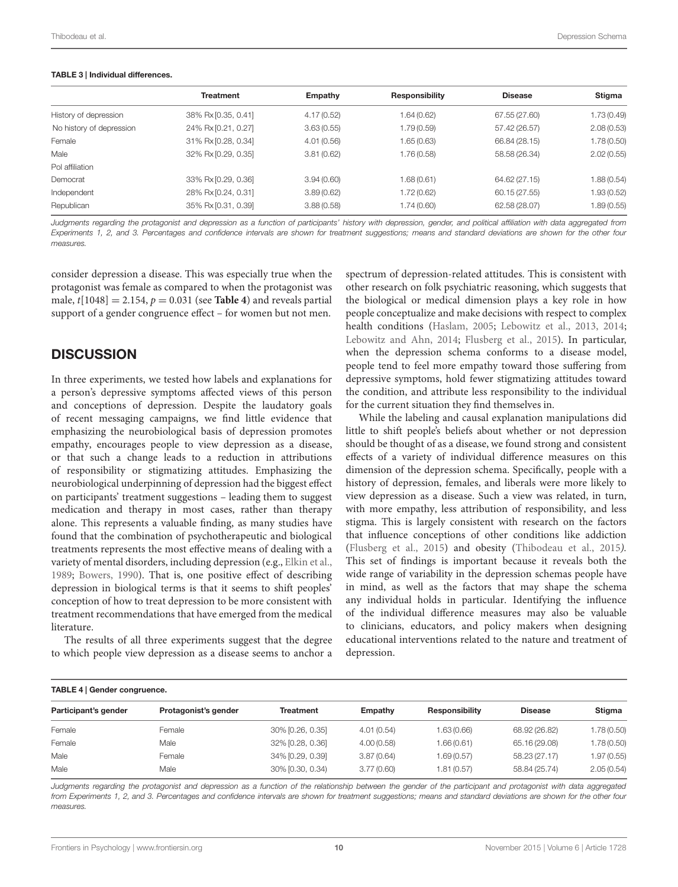#### Thibodeau et al. Depression Schema

#### <span id="page-9-0"></span>TABLE 3 | Individual differences.

|                          | <b>Treatment</b>    | Empathy    | <b>Responsibility</b> | <b>Disease</b> | Stigma      |
|--------------------------|---------------------|------------|-----------------------|----------------|-------------|
| History of depression    | 38% Rx [0.35, 0.41] | 4.17(0.52) | 1.64 (0.62)           | 67.55 (27.60)  | 1.73 (0.49) |
| No history of depression | 24% Rx [0.21, 0.27] | 3.63(0.55) | 1.79 (0.59)           | 57.42 (26.57)  | 2.08(0.53)  |
| Female                   | 31% Rx [0.28, 0.34] | 4.01(0.56) | 1.65 (0.63)           | 66.84 (28.15)  | 1.78 (0.50) |
| Male                     | 32% Rx [0.29, 0.35] | 3.81(0.62) | 1.76 (0.58)           | 58.58 (26.34)  | 2.02(0.55)  |
| Pol affiliation          |                     |            |                       |                |             |
| Democrat                 | 33% Rx [0.29, 0.36] | 3.94(0.60) | 1.68 (0.61)           | 64.62 (27.15)  | 1.88 (0.54) |
| Independent              | 28% Rx [0.24, 0.31] | 3.89(0.62) | 1.72(0.62)            | 60.15 (27.55)  | 1.93 (0.52) |
| Republican               | 35% Rx [0.31, 0.39] | 3.88(0.58) | 1.74 (0.60)           | 62.58 (28.07)  | 1.89 (0.55) |

*Judgments regarding the protagonist and depression as a function of participants' history with depression, gender, and political affiliation with data aggregated from Experiments 1, 2, and 3. Percentages and confidence intervals are shown for treatment suggestions; means and standard deviations are shown for the other four measures.*

consider depression a disease. This was especially true when the protagonist was female as compared to when the protagonist was male,  $t[1048] = 2.154$ ,  $p = 0.031$  (see **[Table 4](#page-9-1)**) and reveals partial support of a gender congruence effect – for women but not men.

# **DISCUSSION**

In three experiments, we tested how labels and explanations for a person's depressive symptoms affected views of this person and conceptions of depression. Despite the laudatory goals of recent messaging campaigns, we find little evidence that emphasizing the neurobiological basis of depression promotes empathy, encourages people to view depression as a disease, or that such a change leads to a reduction in attributions of responsibility or stigmatizing attitudes. Emphasizing the neurobiological underpinning of depression had the biggest effect on participants' treatment suggestions – leading them to suggest medication and therapy in most cases, rather than therapy alone. This represents a valuable finding, as many studies have found that the combination of psychotherapeutic and biological treatments represents the most effective means of dealing with a variety of mental disorders, including depression (e.g., [Elkin et al.,](#page-11-45) [1989](#page-11-45); [Bowers](#page-10-11), [1990](#page-10-11)). That is, one positive effect of describing depression in biological terms is that it seems to shift peoples' conception of how to treat depression to be more consistent with treatment recommendations that have emerged from the medical literature.

The results of all three experiments suggest that the degree to which people view depression as a disease seems to anchor a

spectrum of depression-related attitudes. This is consistent with other research on folk psychiatric reasoning, which suggests that the biological or medical dimension plays a key role in how people conceptualize and make decisions with respect to complex health conditions [\(Haslam, 2005;](#page-11-46) [Lebowitz et al., 2013,](#page-11-28) [2014](#page-11-47); [Lebowitz and Ahn, 2014](#page-11-29); [Flusberg et al.](#page-11-33), [2015](#page-11-33)). In particular, when the depression schema conforms to a disease model, people tend to feel more empathy toward those suffering from depressive symptoms, hold fewer stigmatizing attitudes toward the condition, and attribute less responsibility to the individual for the current situation they find themselves in.

While the labeling and causal explanation manipulations did little to shift people's beliefs about whether or not depression should be thought of as a disease, we found strong and consistent effects of a variety of individual difference measures on this dimension of the depression schema. Specifically, people with a history of depression, females, and liberals were more likely to view depression as a disease. Such a view was related, in turn, with more empathy, less attribution of responsibility, and less stigma. This is largely consistent with research on the factors that influence conceptions of other conditions like addiction [\(Flusberg et al.](#page-11-33), [2015](#page-11-33)) and obesity [\(Thibodeau et al., 2015](#page-11-34)*).* This set of findings is important because it reveals both the wide range of variability in the depression schemas people have in mind, as well as the factors that may shape the schema any individual holds in particular. Identifying the influence of the individual difference measures may also be valuable to clinicians, educators, and policy makers when designing educational interventions related to the nature and treatment of depression.

<span id="page-9-1"></span>

| TABLE 4   Gender congruence. |  |
|------------------------------|--|
|------------------------------|--|

| Participant's gender | Protagonist's gender | <b>Treatment</b> | Empathy    | <b>Responsibility</b> | <b>Disease</b> | Stigma      |
|----------------------|----------------------|------------------|------------|-----------------------|----------------|-------------|
| Female               | Female               | 30% [0.26, 0.35] | 4.01(0.54) | .63(0.66)             | 68.92 (26.82)  | 1.78 (0.50) |
| Female               | Male                 | 32% [0.28, 0.36] | 4.00(0.58) | .66(0.61)             | 65.16 (29.08)  | 1.78 (0.50) |
| Male                 | Female               | 34% [0.29, 0.39] | 3.87(0.64) | 1.69 (0.57)           | 58.23 (27.17)  | 1.97(0.55)  |
| Male                 | Male                 | 30% [0.30, 0.34) | 3.77(0.60) | 1.81 (0.57)           | 58.84 (25.74)  | 2.05(0.54)  |

Judgments regarding the protagonist and depression as a function of the relationship between the gender of the participant and protagonist with data aggregated *from Experiments 1, 2, and 3. Percentages and confidence intervals are shown for treatment suggestions; means and standard deviations are shown for the other four measures.*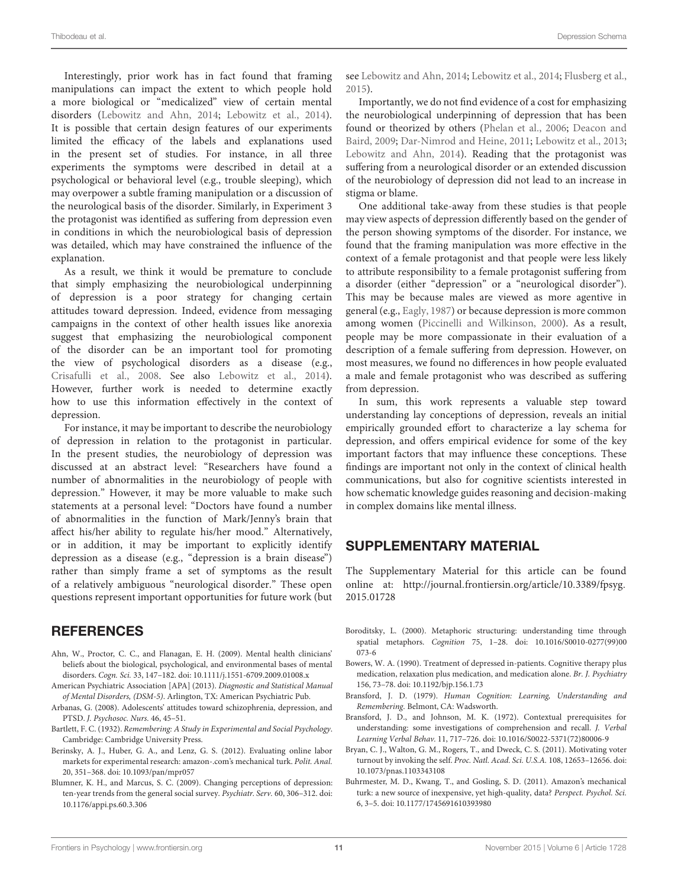Interestingly, prior work has in fact found that framing manipulations can impact the extent to which people hold a more biological or "medicalized" view of certain mental disorders [\(Lebowitz and Ahn, 2014;](#page-11-29) [Lebowitz et al., 2014](#page-11-47)). It is possible that certain design features of our experiments limited the efficacy of the labels and explanations used in the present set of studies. For instance, in all three experiments the symptoms were described in detail at a psychological or behavioral level (e.g., trouble sleeping), which may overpower a subtle framing manipulation or a discussion of the neurological basis of the disorder. Similarly, in Experiment 3 the protagonist was identified as suffering from depression even in conditions in which the neurobiological basis of depression was detailed, which may have constrained the influence of the explanation.

As a result, we think it would be premature to conclude that simply emphasizing the neurobiological underpinning of depression is a poor strategy for changing certain attitudes toward depression. Indeed, evidence from messaging campaigns in the context of other health issues like anorexia suggest that emphasizing the neurobiological component of the disorder can be an important tool for promoting the view of psychological disorders as a disease (e.g., [Crisafulli et al.](#page-11-48), [2008](#page-11-48). See also [Lebowitz et al.](#page-11-47), [2014](#page-11-47)). However, further work is needed to determine exactly how to use this information effectively in the context of depression.

For instance, it may be important to describe the neurobiology of depression in relation to the protagonist in particular. In the present studies, the neurobiology of depression was discussed at an abstract level: "Researchers have found a number of abnormalities in the neurobiology of people with depression." However, it may be more valuable to make such statements at a personal level: "Doctors have found a number of abnormalities in the function of Mark/Jenny's brain that affect his/her ability to regulate his/her mood." Alternatively, or in addition, it may be important to explicitly identify depression as a disease (e.g., "depression is a brain disease") rather than simply frame a set of symptoms as the result of a relatively ambiguous "neurological disorder." These open questions represent important opportunities for future work (but

# **REFERENCES**

- <span id="page-10-5"></span>Ahn, W., Proctor, C. C., and Flanagan, E. H. (2009). Mental health clinicians' beliefs about the biological, psychological, and environmental bases of mental disorders. *Cogn. Sci.* 33, 147–182. doi: 10.1111/j.1551-6709.2009.01008.x
- <span id="page-10-9"></span>American Psychiatric Association [APA] (2013). *Diagnostic and Statistical Manual of Mental Disorders, (DSM-5)*. Arlington, TX: American Psychiatric Pub.
- <span id="page-10-10"></span>Arbanas, G. (2008). Adolescents' attitudes toward schizophrenia, depression, and PTSD. *J. Psychosoc. Nurs.* 46, 45–51.
- <span id="page-10-0"></span>Bartlett, F. C. (1932). *Remembering: A Study in Experimental and Social Psychology*. Cambridge: Cambridge University Press.
- <span id="page-10-8"></span>Berinsky, A. J., Huber, G. A., and Lenz, G. S. (2012). Evaluating online labor markets for experimental research: amazon-.com's mechanical turk. *Polit. Anal.* 20, 351–368. doi: 10.1093/pan/mpr057
- <span id="page-10-6"></span>Blumner, K. H., and Marcus, S. C. (2009). Changing perceptions of depression: ten-year trends from the general social survey. *Psychiatr. Serv.* 60, 306–312. doi: 10.1176/appi.ps.60.3.306

see [Lebowitz and Ahn](#page-11-29), [2014](#page-11-29); [Lebowitz et al., 2014](#page-11-47); [Flusberg et al.](#page-11-33), [2015\)](#page-11-33).

Importantly, we do not find evidence of a cost for emphasizing the neurobiological underpinning of depression that has been foun[d or theorized by others](#page-11-27) [\(Phelan et al., 2006;](#page-11-26) Deacon and Baird, [2009](#page-11-27); [Dar-Nimrod and Heine, 2011;](#page-11-19) [Lebowitz et al.](#page-11-28), [2013](#page-11-28); [Lebowitz and Ahn](#page-11-29), [2014\)](#page-11-29). Reading that the protagonist was suffering from a neurological disorder or an extended discussion of the neurobiology of depression did not lead to an increase in stigma or blame.

One additional take-away from these studies is that people may view aspects of depression differently based on the gender of the person showing symptoms of the disorder. For instance, we found that the framing manipulation was more effective in the context of a female protagonist and that people were less likely to attribute responsibility to a female protagonist suffering from a disorder (either "depression" or a "neurological disorder"). This may be because males are viewed as more agentive in general (e.g., [Eagly](#page-11-43), [1987](#page-11-43)) or because depression is more common among women [\(Piccinelli and Wilkinson, 2000\)](#page-11-49). As a result, people may be more compassionate in their evaluation of a description of a female suffering from depression. However, on most measures, we found no differences in how people evaluated a male and female protagonist who was described as suffering from depression.

In sum, this work represents a valuable step toward understanding lay conceptions of depression, reveals an initial empirically grounded effort to characterize a lay schema for depression, and offers empirical evidence for some of the key important factors that may influence these conceptions. These findings are important not only in the context of clinical health communications, but also for cognitive scientists interested in how schematic knowledge guides reasoning and decision-making in complex domains like mental illness.

# SUPPLEMENTARY MATERIAL

The Supplementary Material for this article can be found online at: [http://journal](http://journal.frontiersin.org/article/10.3389/fpsyg.2015.01728)*.*frontiersin*.*org/article/10*.*3389/fpsyg*.* 2015*.*[01728](http://journal.frontiersin.org/article/10.3389/fpsyg.2015.01728)

- <span id="page-10-4"></span>Boroditsky, L. (2000). Metaphoric structuring: understanding time through spatial metaphors. *Cognition* 75, 1–28. doi: 10.1016/S0010-0277(99)00 073-6
- <span id="page-10-11"></span>Bowers, W. A. (1990). Treatment of depressed in-patients. Cognitive therapy plus medication, relaxation plus medication, and medication alone. *Br. J. Psychiatry* 156, 73–78. doi: 10.1192/bjp.156.1.73
- <span id="page-10-1"></span>Bransford, J. D. (1979). *Human Cognition: Learning, Understanding and Remembering*. Belmont, CA: Wadsworth.
- <span id="page-10-2"></span>Bransford, J. D., and Johnson, M. K. (1972). Contextual prerequisites for understanding: some investigations of comprehension and recall. *J. Verbal Learning Verbal Behav.* 11, 717–726. doi: 10.1016/S0022-5371(72)80006-9
- <span id="page-10-3"></span>Bryan, C. J., Walton, G. M., Rogers, T., and Dweck, C. S. (2011). Motivating voter turnout by invoking the self. *Proc. Natl. Acad. Sci. U.S.A.* 108, 12653–12656. doi: 10.1073/pnas.1103343108
- <span id="page-10-7"></span>Buhrmester, M. D., Kwang, T., and Gosling, S. D. (2011). Amazon's mechanical turk: a new source of inexpensive, yet high-quality, data? *Perspect. Psychol. Sci.* 6, 3–5. doi: 10.1177/1745691610393980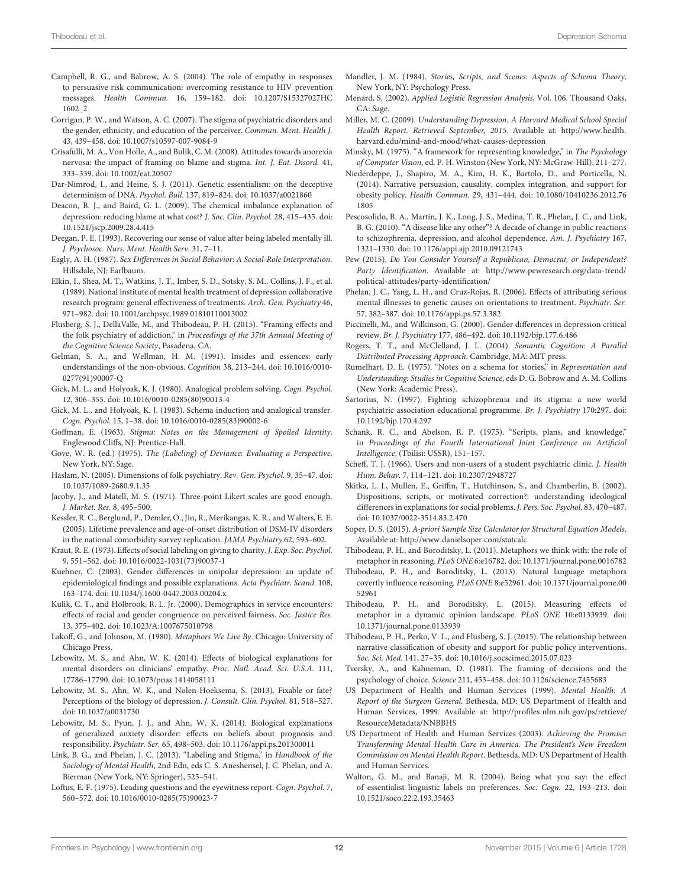- <span id="page-11-39"></span>Campbell, R. G., and Babrow, A. S. (2004). The role of empathy in responses to persuasive risk communication: overcoming resistance to HIV prevention messages. *Health Commun.* 16, 159–182. doi: 10.1207/S15327027HC 1602\_2
- <span id="page-11-32"></span>Corrigan, P. W., and Watson, A. C. (2007). The stigma of psychiatric disorders and the gender, ethnicity, and education of the perceiver. *Commun. Ment. Health J.* 43, 439–458. doi: 10.1007/s10597-007-9084-9
- <span id="page-11-48"></span>Crisafulli, M. A., Von Holle, A., and Bulik, C. M. (2008). Attitudes towards anorexia nervosa: the impact of framing on blame and stigma. *Int. J. Eat. Disord.* 41, 333–339. doi: 10.1002/eat.20507
- <span id="page-11-19"></span>Dar-Nimrod, I., and Heine, S. J. (2011). Genetic essentialism: on the deceptive determinism of DNA. *Psychol. Bull.* 137, 819–824. doi: 10.1037/a0021860
- <span id="page-11-27"></span>Deacon, B. J., and Baird, G. L. (2009). The chemical imbalance explanation of depression: reducing blame at what cost? *J. Soc. Clin. Psychol.* 28, 415–435. doi: 10.1521/jscp.2009.28.4.415
- <span id="page-11-21"></span>Deegan, P. E. (1993). Recovering our sense of value after being labeled mentally ill. *J. Psychosoc. Nurs. Ment. Health Serv.* 31, 7–11.
- <span id="page-11-43"></span>Eagly, A. H. (1987). *Sex Di*ff*erences in Social Behavior: A Social-Role Interpretation*. Hillsdale, NJ: Earlbaum.
- <span id="page-11-45"></span>Elkin, I., Shea, M. T., Watkins, J. T., Imber, S. D., Sotsky, S. M., Collins, J. F., et al. (1989). National institute of mental health treatment of depression collaborative research program: general effectiveness of treatments. *Arch. Gen. Psychiatry* 46, 971–982. doi: 10.1001/archpsyc.1989.01810110013002
- <span id="page-11-33"></span>Flusberg, S. J., DellaValle, M., and Thibodeau, P. H. (2015). "Framing effects and the folk psychiatry of addiction," in *Proceedings of the 37th Annual Meeting of the Cognitive Science Society*, Pasadena, CA.
- <span id="page-11-5"></span>Gelman, S. A., and Wellman, H. M. (1991). Insides and essences: early understandings of the non-obvious. *Cognition* 38, 213–244. doi: 10.1016/0010- 0277(91)90007-Q
- <span id="page-11-13"></span>Gick, M. L., and Holyoak, K. J. (1980). Analogical problem solving. *Cogn. Psychol.* 12, 306–355. doi: 10.1016/0010-0285(80)90013-4
- <span id="page-11-14"></span>Gick, M. L., and Holyoak, K. J. (1983). Schema induction and analogical transfer. *Cogn. Psychol.* 15, 1–38. doi: 10.1016/0010-0285(83)90002-6
- <span id="page-11-16"></span>Goffman, E. (1963). *Stigma: Notes on the Management of Spoiled Identity*. Englewood Cliffs, NJ: Prentice-Hall.
- <span id="page-11-18"></span>Gove, W. R. (ed.) (1975). *The (Labeling) of Deviance: Evaluating a Perspective*. New York, NY: Sage.
- <span id="page-11-46"></span>Haslam, N. (2005). Dimensions of folk psychiatry. *Rev. Gen. Psychol.* 9, 35–47. doi: 10.1037/1089-2680.9.1.35
- <span id="page-11-41"></span>Jacoby, J., and Matell, M. S. (1971). Three-point Likert scales are good enough. *J. Market. Res.* 8, 495–500.
- <span id="page-11-37"></span>Kessler, R. C., Berglund, P., Demler, O., Jin, R., Merikangas, K. R., and Walters, E. E. (2005). Lifetime prevalence and age-of-onset distribution of DSM-IV disorders in the national comorbidity survey replication. *JAMA Psychiatry* 62, 593–602.
- <span id="page-11-6"></span>Kraut, R. E. (1973). Effects of social labeling on giving to charity. *J. Exp. Soc. Psychol.* 9, 551–562. doi: 10.1016/0022-1031(73)90037-1
- <span id="page-11-30"></span>Kuehner, C. (2003). Gender differences in unipolar depression: an update of epidemiological findings and possible explanations. *Acta Psychiatr. Scand.* 108, 163–174. doi: 10.1034/j.1600-0447.2003.00204.x
- <span id="page-11-44"></span>Kulik, C. T., and Holbrook, R. L. Jr. (2000). Demographics in service encounters: effects of racial and gender congruence on perceived fairness. *Soc. Justice Res.* 13, 375–402. doi: 10.1023/A:1007675010798
- <span id="page-11-15"></span>Lakoff, G., and Johnson, M. (1980). *Metaphors We Live By*. Chicago: University of Chicago Press.
- <span id="page-11-29"></span>Lebowitz, M. S., and Ahn, W. K. (2014). Effects of biological explanations for mental disorders on clinicians' empathy. *Proc. Natl. Acad. Sci. U.S.A.* 111, 17786–17790. doi: 10.1073/pnas.1414058111
- <span id="page-11-28"></span>Lebowitz, M. S., Ahn, W. K., and Nolen-Hoeksema, S. (2013). Fixable or fate? Perceptions of the biology of depression. *J. Consult. Clin. Psychol.* 81, 518–527. doi: 10.1037/a0031730
- <span id="page-11-47"></span>Lebowitz, M. S., Pyun, J. J., and Ahn, W. K. (2014). Biological explanations of generalized anxiety disorder: effects on beliefs about prognosis and responsibility. *Psychiatr. Ser.* 65, 498–503. doi: 10.1176/appi.ps.201300011
- <span id="page-11-20"></span>Link, B. G., and Phelan, J. C. (2013). "Labeling and Stigma," in *Handbook of the Sociology of Mental Health*, 2nd Edn, eds C. S. Aneshensel, J. C. Phelan, and A. Bierman (New York, NY: Springer), 525–541.
- <span id="page-11-7"></span>Loftus, E. F. (1975). Leading questions and the eyewitness report. *Cogn. Psychol.* 7, 560–572. doi: 10.1016/0010-0285(75)90023-7
- <span id="page-11-3"></span>Mandler, J. M. (1984). *Stories, Scripts, and Scenes: Aspects of Schema Theory*. New York, NY: Psychology Press.
- <span id="page-11-42"></span>Menard, S. (2002). *Applied Logistic Regression Analysis*, Vol. 106. Thousand Oaks, CA: Sage.
- <span id="page-11-38"></span>Miller, M. C. (2009). *Understanding Depression. A Harvard Medical School Special Health Report. Retrieved September, 2015*. Available at: [http://www](http://www.health.harvard.edu/mind-and-mood/what-causes-depression)*.*health*.* harvard*.*[edu/mind-and-mood/what-causes-depression](http://www.health.harvard.edu/mind-and-mood/what-causes-depression)
- <span id="page-11-0"></span>Minsky, M. (1975). "A framework for representing knowledge," in *The Psychology of Computer Vision*, ed. P. H. Winston (New York, NY: McGraw-Hill), 211–277.
- <span id="page-11-40"></span>Niederdeppe, J., Shapiro, M. A., Kim, H. K., Bartolo, D., and Porticella, N. (2014). Narrative persuasion, causality, complex integration, and support for obesity policy. *Health Commun.* 29, 431–444. doi: 10.1080/10410236.2012.76 1805
- <span id="page-11-25"></span>Pescosolido, B. A., Martin, J. K., Long, J. S., Medina, T. R., Phelan, J. C., and Link, B. G. (2010). "A disease like any other"? A decade of change in public reactions to schizophrenia, depression, and alcohol dependence. *Am. J. Psychiatry* 167, 1321–1330. doi: 10.1176/appi.ajp.2010.09121743
- <span id="page-11-36"></span>Pew (2015). *Do You Consider Yourself a Republican, Democrat, or Independent? Party Identification*. Available at: http://www*.*pewresearch*.*[org/data-trend/](http://www.pewresearch.org/data-trend/political-attitudes/party-identification/) [political-attitudes/party-identification/](http://www.pewresearch.org/data-trend/political-attitudes/party-identification/)
- <span id="page-11-26"></span>Phelan, J. C., Yang, L. H., and Cruz-Rojas, R. (2006). Effects of attributing serious mental illnesses to genetic causes on orientations to treatment. *Psychiatr. Ser.* 57, 382–387. doi: 10.1176/appi.ps.57.3.382
- <span id="page-11-49"></span>Piccinelli, M., and Wilkinson, G. (2000). Gender differences in depression critical review. *Br. J. Psychiatry* 177, 486–492. doi: 10.1192/bjp.177.6.486
- <span id="page-11-4"></span>Rogers, T. T., and McClelland, J. L. (2004). *Semantic Cognition: A Parallel Distributed Processing Approach*. Cambridge, MA: MIT press.
- <span id="page-11-1"></span>Rumelhart, D. E. (1975). "Notes on a schema for stories," in *Representation and Understanding: Studies in Cognitive Science*, eds D. G. Bobrow and A. M. Collins (New York: Academic Press).
- <span id="page-11-23"></span>Sartorius, N. (1997). Fighting schizophrenia and its stigma: a new world psychiatric association educational programme. *Br. J. Psychiatry* 170:297. doi: 10.1192/bjp.170.4.297
- <span id="page-11-2"></span>Schank, R. C., and Abelson, R. P. (1975). "Scripts, plans, and knowledge," in *Proceedings of the Fourth International Joint Conference on Artificial Intelligence*, (Tbilisi: USSR), 151–157.
- <span id="page-11-17"></span>Scheff, T. J. (1966). Users and non-users of a student psychiatric clinic. *J. Health Hum. Behav.* 7, 114–121. doi: 10.2307/2948727
- <span id="page-11-31"></span>Skitka, L. J., Mullen, E., Griffin, T., Hutchinson, S., and Chamberlin, B. (2002). Dispositions, scripts, or motivated correction?: understanding ideological differences in explanations for social problems.*J. Pers. Soc. Psychol.* 83, 470–487. doi: 10.1037/0022-3514.83.2.470
- <span id="page-11-35"></span>Soper, D. S. (2015). *A-priori Sample Size Calculator for Structural Equation Models*. Available at: http://www*.*danielsoper*.*[com/statcalc](http://www.danielsoper.com/statcalc)
- <span id="page-11-10"></span>Thibodeau, P. H., and Boroditsky, L. (2011). Metaphors we think with: the role of metaphor in reasoning. *PLoS ONE* 6:e16782. doi: 10.1371/journal.pone.0016782
- <span id="page-11-11"></span>Thibodeau, P. H., and Boroditsky, L. (2013). Natural language metaphors covertly influence reasoning. *PLoS ONE* 8:e52961. doi: 10.1371/journal.pone.00 52961
- <span id="page-11-12"></span>Thibodeau, P. H., and Boroditsky, L. (2015). Measuring effects of metaphor in a dynamic opinion landscape. *PLoS ONE* 10:e0133939. doi: 10.1371/journal.pone.0133939
- <span id="page-11-34"></span>Thibodeau, P. H., Perko, V. L., and Flusberg, S. J. (2015). The relationship between narrative classification of obesity and support for public policy interventions. *Soc. Sci. Med.* 141, 27–35. doi: 10.1016/j.socscimed.2015.07.023
- <span id="page-11-8"></span>Tversky, A., and Kahneman, D. (1981). The framing of decisions and the psychology of choice. *Science* 211, 453–458. doi: 10.1126/science.7455683
- <span id="page-11-22"></span>US Department of Health and Human Services (1999). *Mental Health: A Report of the Surgeon General.* Bethesda, MD: US Department of Health and Human Services, 1999. Available at: http://profiles*.*nlm*.*nih*.*[gov/ps/retrieve/](http://profiles.nlm.nih.gov/ps/retrieve/ResourceMetadata/NNBBHS) [ResourceMetadata/NNBBHS](http://profiles.nlm.nih.gov/ps/retrieve/ResourceMetadata/NNBBHS)
- <span id="page-11-24"></span>US Department of Health and Human Services (2003). *Achieving the Promise: Transforming Mental Health Care in America. The President's New Freedom Commission on Mental Health Report*. Bethesda, MD: US Department of Health and Human Services.
- <span id="page-11-9"></span>Walton, G. M., and Banaji, M. R. (2004). Being what you say: the effect of essentialist linguistic labels on preferences. *Soc. Cogn.* 22, 193–213. doi: 10.1521/soco.22.2.193.35463